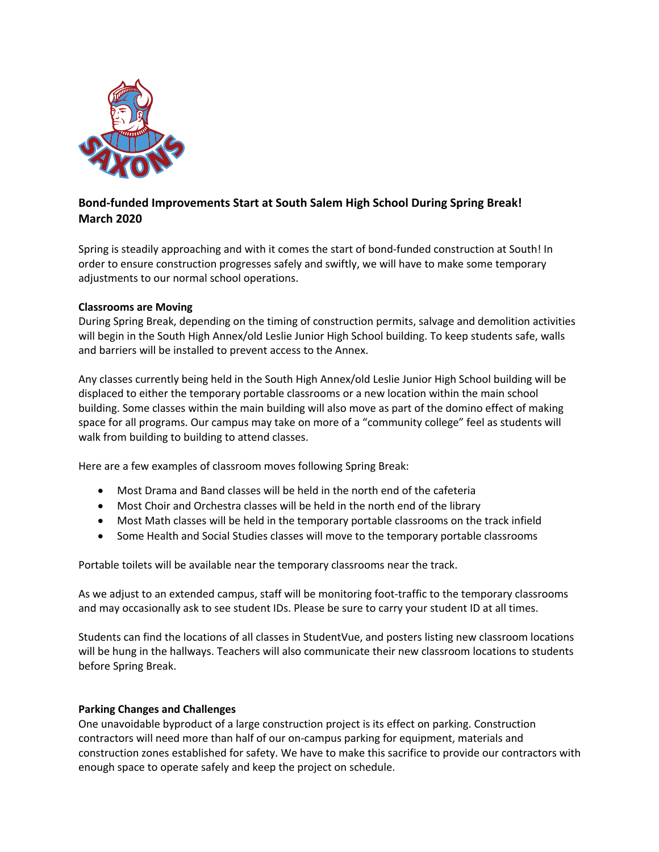

# **Bond-funded Improvements Start at South Salem High School During Spring Break! March 2020**

Spring is steadily approaching and with it comes the start of bond-funded construction at South! In order to ensure construction progresses safely and swiftly, we will have to make some temporary adjustments to our normal school operations.

### **Classrooms are Moving**

During Spring Break, depending on the timing of construction permits, salvage and demolition activities will begin in the South High Annex/old Leslie Junior High School building. To keep students safe, walls and barriers will be installed to prevent access to the Annex.

Any classes currently being held in the South High Annex/old Leslie Junior High School building will be displaced to either the temporary portable classrooms or a new location within the main school building. Some classes within the main building will also move as part of the domino effect of making space for all programs. Our campus may take on more of a "community college" feel as students will walk from building to building to attend classes.

Here are a few examples of classroom moves following Spring Break:

- Most Drama and Band classes will be held in the north end of the cafeteria
- Most Choir and Orchestra classes will be held in the north end of the library
- Most Math classes will be held in the temporary portable classrooms on the track infield
- Some Health and Social Studies classes will move to the temporary portable classrooms

Portable toilets will be available near the temporary classrooms near the track.

As we adjust to an extended campus, staff will be monitoring foot-traffic to the temporary classrooms and may occasionally ask to see student IDs. Please be sure to carry your student ID at all times.

Students can find the locations of all classes in StudentVue, and posters listing new classroom locations will be hung in the hallways. Teachers will also communicate their new classroom locations to students before Spring Break.

### **Parking Changes and Challenges**

One unavoidable byproduct of a large construction project is its effect on parking. Construction contractors will need more than half of our on-campus parking for equipment, materials and construction zones established for safety. We have to make this sacrifice to provide our contractors with enough space to operate safely and keep the project on schedule.